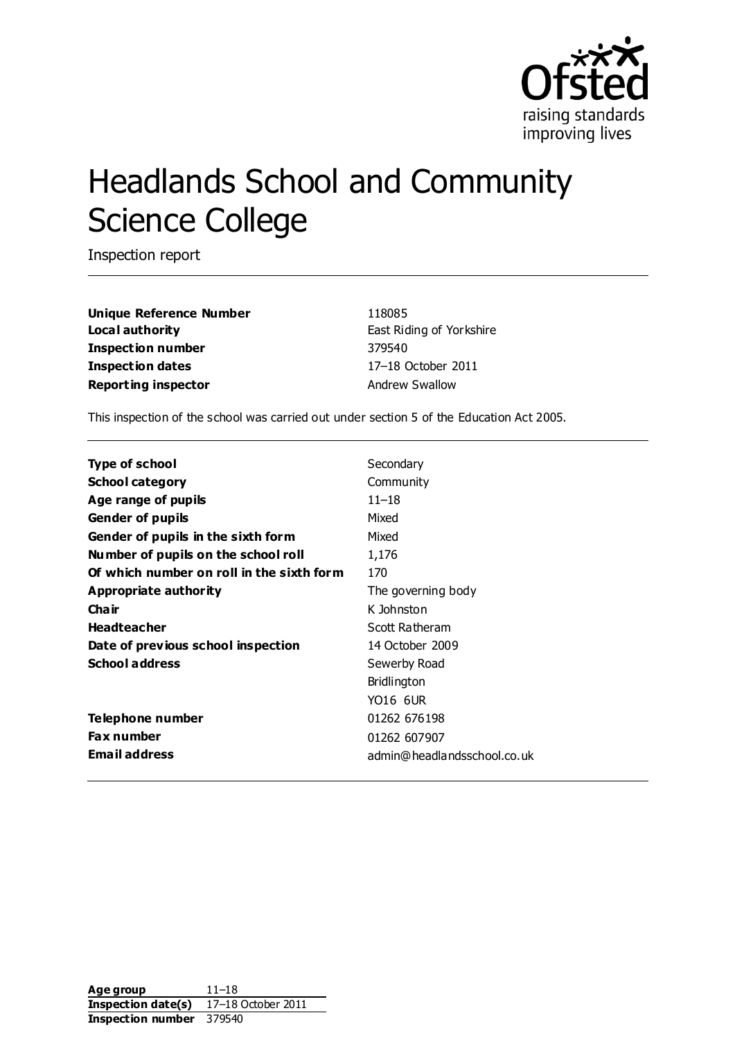

# Headlands School and Community Science College

Inspection report

**Unique Reference Number** 118085 **Local authority East Riding of Yorkshire Inspection number** 379540 **Inspection dates** 17–18 October 2011 **Reporting inspector Andrew Swallow** 

This inspection of the school was carried out under section 5 of the Education Act 2005.

| <b>Type of school</b>                     | Secondary                   |
|-------------------------------------------|-----------------------------|
| <b>School category</b>                    | Community                   |
| Age range of pupils                       | $11 - 18$                   |
| <b>Gender of pupils</b>                   | Mixed                       |
| Gender of pupils in the sixth form        | Mixed                       |
| Number of pupils on the school roll       | 1,176                       |
| Of which number on roll in the sixth form | 170                         |
| Appropriate authority                     | The governing body          |
| Cha ir                                    | K Johnston                  |
| <b>Headteacher</b>                        | Scott Ratheram              |
| Date of previous school inspection        | 14 October 2009             |
| <b>School address</b>                     | Sewerby Road                |
|                                           | <b>Bridlington</b>          |
|                                           | YO16 6UR                    |
| Telephone number                          | 01262 676198                |
| <b>Fax number</b>                         | 01262 607907                |
| Email address                             | admin@headlandsschool.co.uk |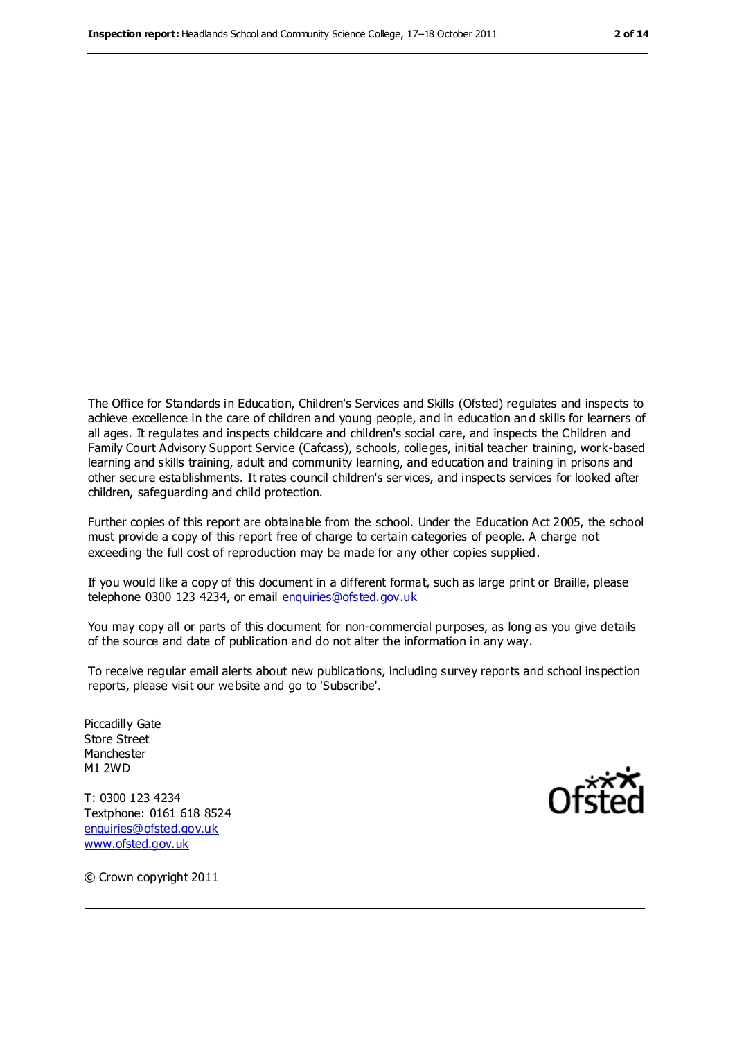The Office for Standards in Education, Children's Services and Skills (Ofsted) regulates and inspects to achieve excellence in the care of children and young people, and in education an d skills for learners of all ages. It regulates and inspects childcare and children's social care, and inspects the Children and Family Court Advisory Support Service (Cafcass), schools, colleges, initial teacher training, work-based learning and skills training, adult and community learning, and education and training in prisons and other secure establishments. It rates council children's services, and inspects services for looked after children, safeguarding and child protection.

Further copies of this report are obtainable from the school. Under the Education Act 2005, the school must provide a copy of this report free of charge to certain categories of people. A charge not exceeding the full cost of reproduction may be made for any other copies supplied.

If you would like a copy of this document in a different format, such as large print or Braille, please telephone 0300 123 4234, or email [enquiries@ofsted.gov.uk](mailto:enquiries@ofsted.gov.uk)

You may copy all or parts of this document for non-commercial purposes, as long as you give details of the source and date of publication and do not alter the information in any way.

To receive regular email alerts about new publications, including survey reports and school inspection reports, please visit our website and go to 'Subscribe'.

Piccadilly Gate Store Street Manchester M1 2WD

T: 0300 123 4234 Textphone: 0161 618 8524 [enquiries@ofsted.gov.uk](mailto:enquiries@ofsted.gov.uk) [www.ofsted.gov.uk](http://www.ofsted.gov.uk/)



© Crown copyright 2011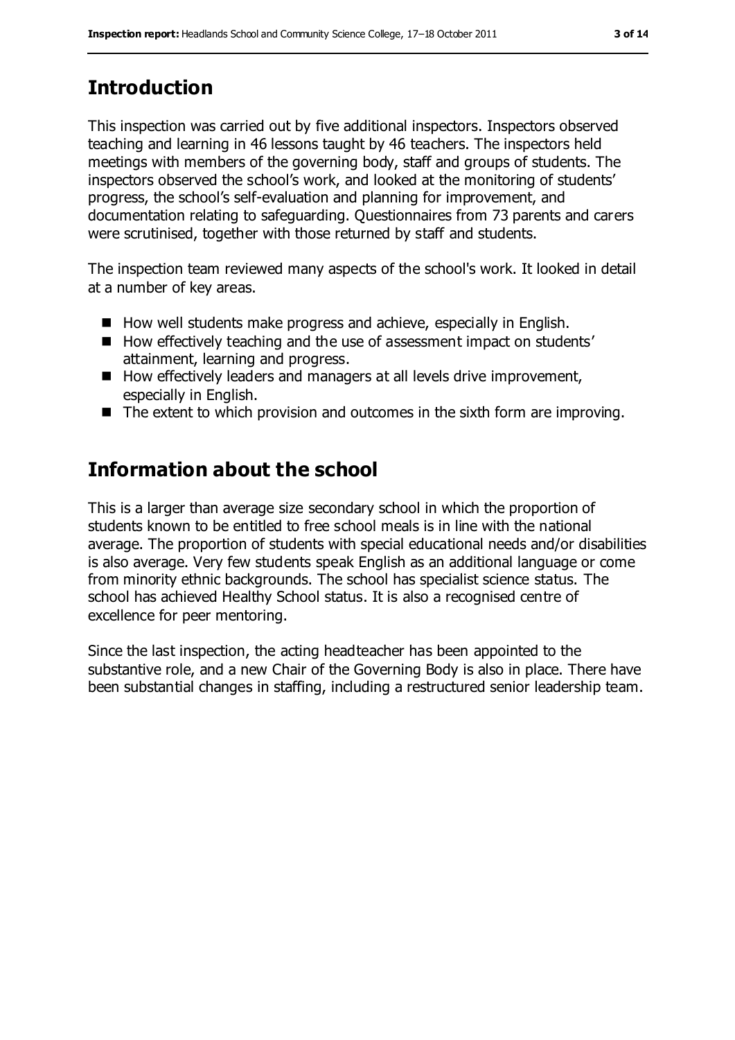# **Introduction**

This inspection was carried out by five additional inspectors. Inspectors observed teaching and learning in 46 lessons taught by 46 teachers. The inspectors held meetings with members of the governing body, staff and groups of students. The inspectors observed the school's work, and looked at the monitoring of students' progress, the school's self-evaluation and planning for improvement, and documentation relating to safeguarding. Questionnaires from 73 parents and carers were scrutinised, together with those returned by staff and students.

The inspection team reviewed many aspects of the school's work. It looked in detail at a number of key areas.

- $\blacksquare$  How well students make progress and achieve, especially in English.
- How effectively teaching and the use of assessment impact on students' attainment, learning and progress.
- How effectively leaders and managers at all levels drive improvement, especially in English.
- The extent to which provision and outcomes in the sixth form are improving.

# **Information about the school**

This is a larger than average size secondary school in which the proportion of students known to be entitled to free school meals is in line with the national average. The proportion of students with special educational needs and/or disabilities is also average. Very few students speak English as an additional language or come from minority ethnic backgrounds. The school has specialist science status. The school has achieved Healthy School status. It is also a recognised centre of excellence for peer mentoring.

Since the last inspection, the acting headteacher has been appointed to the substantive role, and a new Chair of the Governing Body is also in place. There have been substantial changes in staffing, including a restructured senior leadership team.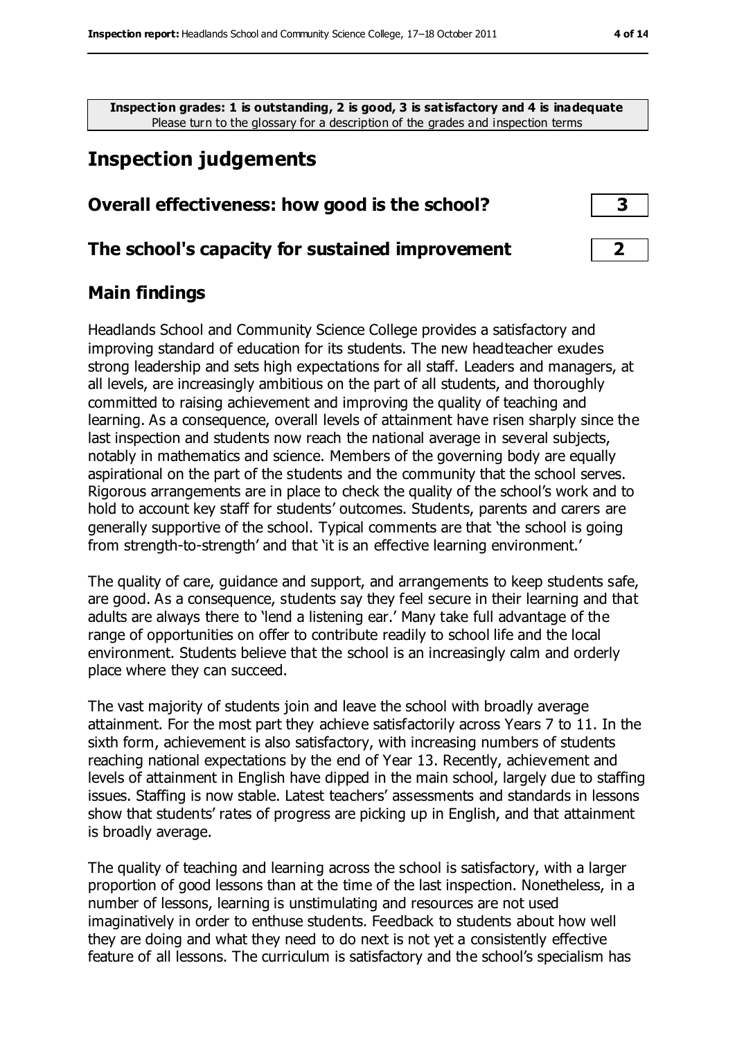**Inspection grades: 1 is outstanding, 2 is good, 3 is satisfactory and 4 is inadequate** Please turn to the glossary for a description of the grades and inspection terms

## **Inspection judgements**

#### **Overall effectiveness: how good is the school? 3**

#### **The school's capacity for sustained improvement 2**

#### **Main findings**

Headlands School and Community Science College provides a satisfactory and improving standard of education for its students. The new headteacher exudes strong leadership and sets high expectations for all staff. Leaders and managers, at all levels, are increasingly ambitious on the part of all students, and thoroughly committed to raising achievement and improving the quality of teaching and learning. As a consequence, overall levels of attainment have risen sharply since the last inspection and students now reach the national average in several subjects, notably in mathematics and science. Members of the governing body are equally aspirational on the part of the students and the community that the school serves. Rigorous arrangements are in place to check the quality of the school's work and to hold to account key staff for students' outcomes. Students, parents and carers are generally supportive of the school. Typical comments are that 'the school is going from strength-to-strength' and that 'it is an effective learning environment.'

The quality of care, guidance and support, and arrangements to keep students safe, are good. As a consequence, students say they feel secure in their learning and that adults are always there to 'lend a listening ear.' Many take full advantage of the range of opportunities on offer to contribute readily to school life and the local environment. Students believe that the school is an increasingly calm and orderly place where they can succeed.

The vast majority of students join and leave the school with broadly average attainment. For the most part they achieve satisfactorily across Years 7 to 11. In the sixth form, achievement is also satisfactory, with increasing numbers of students reaching national expectations by the end of Year 13. Recently, achievement and levels of attainment in English have dipped in the main school, largely due to staffing issues. Staffing is now stable. Latest teachers' assessments and standards in lessons show that students' rates of progress are picking up in English, and that attainment is broadly average.

The quality of teaching and learning across the school is satisfactory, with a larger proportion of good lessons than at the time of the last inspection. Nonetheless, in a number of lessons, learning is unstimulating and resources are not used imaginatively in order to enthuse students. Feedback to students about how well they are doing and what they need to do next is not yet a consistently effective feature of all lessons. The curriculum is satisfactory and the school's specialism has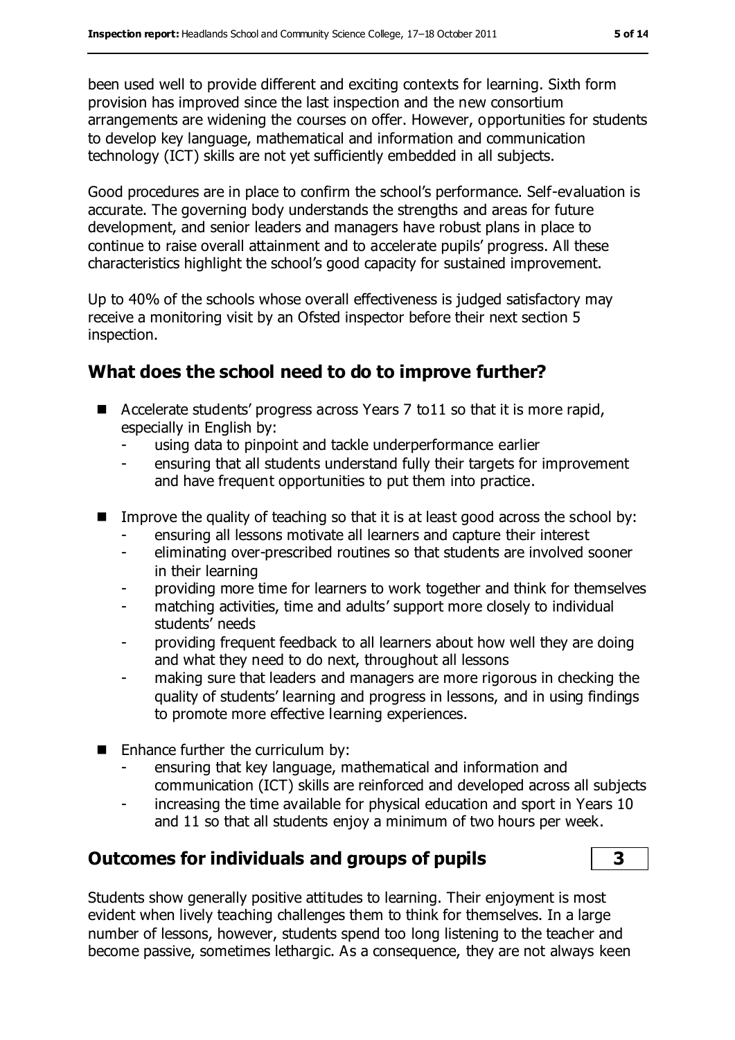been used well to provide different and exciting contexts for learning. Sixth form provision has improved since the last inspection and the new consortium arrangements are widening the courses on offer. However, opportunities for students to develop key language, mathematical and information and communication technology (ICT) skills are not yet sufficiently embedded in all subjects.

Good procedures are in place to confirm the school's performance. Self-evaluation is accurate. The governing body understands the strengths and areas for future development, and senior leaders and managers have robust plans in place to continue to raise overall attainment and to accelerate pupils' progress. All these characteristics highlight the school's good capacity for sustained improvement.

Up to 40% of the schools whose overall effectiveness is judged satisfactory may receive a monitoring visit by an Ofsted inspector before their next section 5 inspection.

## **What does the school need to do to improve further?**

- Accelerate students' progress across Years 7 to11 so that it is more rapid, especially in English by:
	- using data to pinpoint and tackle underperformance earlier
	- ensuring that all students understand fully their targets for improvement and have frequent opportunities to put them into practice.
- Improve the quality of teaching so that it is at least good across the school by:
	- ensuring all lessons motivate all learners and capture their interest
	- eliminating over-prescribed routines so that students are involved sooner in their learning
	- providing more time for learners to work together and think for themselves
	- matching activities, time and adults' support more closely to individual students' needs
	- providing frequent feedback to all learners about how well they are doing and what they need to do next, throughout all lessons
	- making sure that leaders and managers are more rigorous in checking the quality of students' learning and progress in lessons, and in using findings to promote more effective learning experiences.
- $\blacksquare$  Enhance further the curriculum by:
	- ensuring that key language, mathematical and information and communication (ICT) skills are reinforced and developed across all subjects
	- increasing the time available for physical education and sport in Years 10 and 11 so that all students enjoy a minimum of two hours per week.

## **Outcomes for individuals and groups of pupils 3**

Students show generally positive attitudes to learning. Their enjoyment is most evident when lively teaching challenges them to think for themselves. In a large number of lessons, however, students spend too long listening to the teacher and become passive, sometimes lethargic. As a consequence, they are not always keen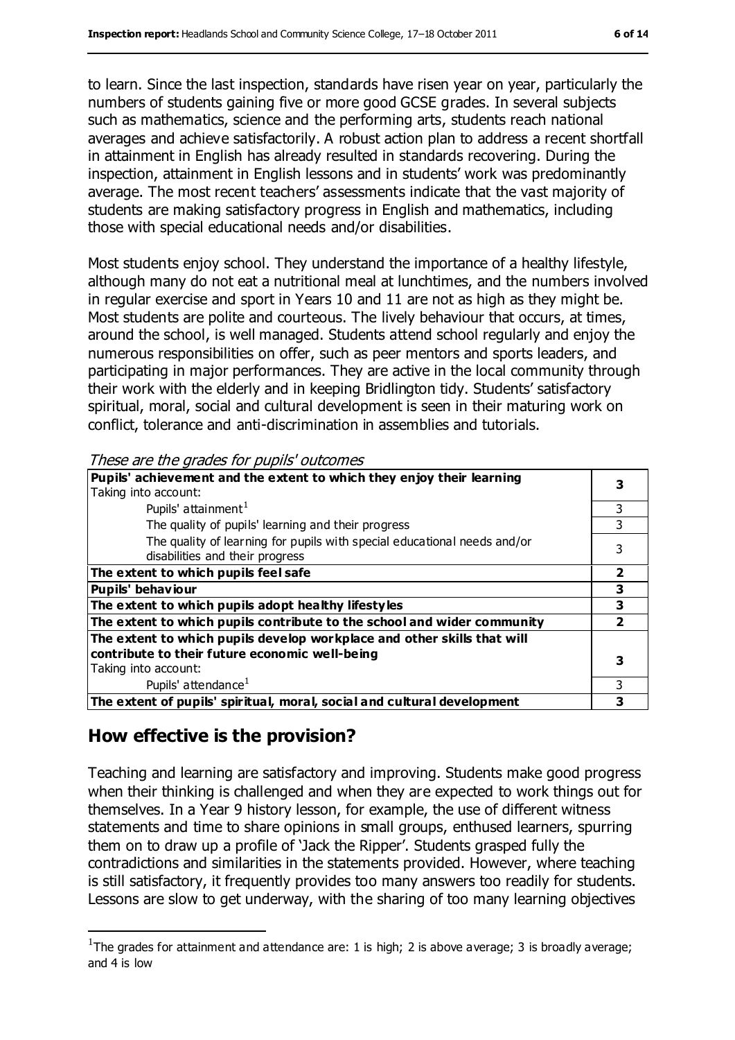to learn. Since the last inspection, standards have risen year on year, particularly the numbers of students gaining five or more good GCSE grades. In several subjects such as mathematics, science and the performing arts, students reach national averages and achieve satisfactorily. A robust action plan to address a recent shortfall in attainment in English has already resulted in standards recovering. During the inspection, attainment in English lessons and in students' work was predominantly average. The most recent teachers' assessments indicate that the vast majority of students are making satisfactory progress in English and mathematics, including those with special educational needs and/or disabilities.

Most students enjoy school. They understand the importance of a healthy lifestyle, although many do not eat a nutritional meal at lunchtimes, and the numbers involved in regular exercise and sport in Years 10 and 11 are not as high as they might be. Most students are polite and courteous. The lively behaviour that occurs, at times, around the school, is well managed. Students attend school regularly and enjoy the numerous responsibilities on offer, such as peer mentors and sports leaders, and participating in major performances. They are active in the local community through their work with the elderly and in keeping Bridlington tidy. Students' satisfactory spiritual, moral, social and cultural development is seen in their maturing work on conflict, tolerance and anti-discrimination in assemblies and tutorials.

These are the grades for pupils' outcomes

| Pupils' achievement and the extent to which they enjoy their learning<br>Taking into account:                             |   |  |
|---------------------------------------------------------------------------------------------------------------------------|---|--|
| Pupils' attainment <sup>1</sup>                                                                                           |   |  |
| The quality of pupils' learning and their progress                                                                        |   |  |
| The quality of learning for pupils with special educational needs and/or<br>disabilities and their progress               |   |  |
| The extent to which pupils feel safe                                                                                      |   |  |
| <b>Pupils' behaviour</b>                                                                                                  |   |  |
| The extent to which pupils adopt healthy lifestyles                                                                       | 3 |  |
| The extent to which pupils contribute to the school and wider community                                                   |   |  |
| The extent to which pupils develop workplace and other skills that will<br>contribute to their future economic well-being |   |  |
| Taking into account:                                                                                                      |   |  |
| Pupils' attendance <sup>1</sup>                                                                                           | 3 |  |
| The extent of pupils' spiritual, moral, social and cultural development                                                   |   |  |
|                                                                                                                           |   |  |

## **How effective is the provision?**

 $\overline{a}$ 

Teaching and learning are satisfactory and improving. Students make good progress when their thinking is challenged and when they are expected to work things out for themselves. In a Year 9 history lesson, for example, the use of different witness statements and time to share opinions in small groups, enthused learners, spurring them on to draw up a profile of 'Jack the Ripper'. Students grasped fully the contradictions and similarities in the statements provided. However, where teaching is still satisfactory, it frequently provides too many answers too readily for students. Lessons are slow to get underway, with the sharing of too many learning objectives

<sup>&</sup>lt;sup>1</sup>The grades for attainment and attendance are: 1 is high; 2 is above average; 3 is broadly average; and 4 is low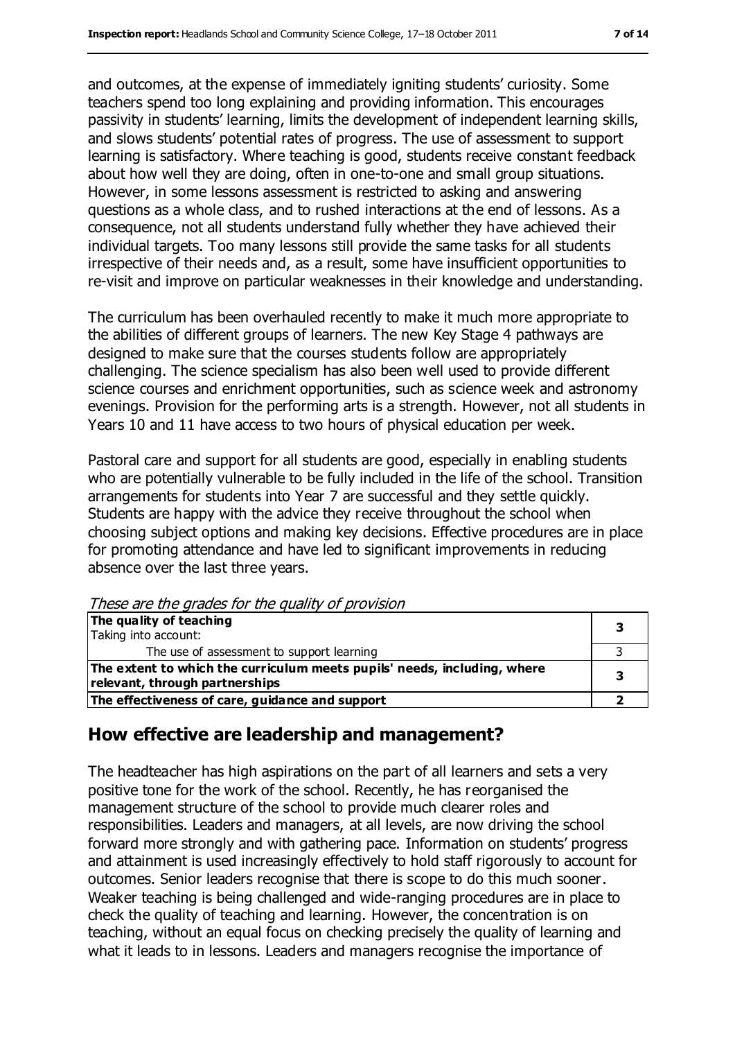and outcomes, at the expense of immediately igniting students' curiosity. Some teachers spend too long explaining and providing information. This encourages passivity in students' learning, limits the development of independent learning skills, and slows students' potential rates of progress. The use of assessment to support learning is satisfactory. Where teaching is good, students receive constant feedback about how well they are doing, often in one-to-one and small group situations. However, in some lessons assessment is restricted to asking and answering questions as a whole class, and to rushed interactions at the end of lessons. As a consequence, not all students understand fully whether they have achieved their individual targets. Too many lessons still provide the same tasks for all students irrespective of their needs and, as a result, some have insufficient opportunities to re-visit and improve on particular weaknesses in their knowledge and understanding.

The curriculum has been overhauled recently to make it much more appropriate to the abilities of different groups of learners. The new Key Stage 4 pathways are designed to make sure that the courses students follow are appropriately challenging. The science specialism has also been well used to provide different science courses and enrichment opportunities, such as science week and astronomy evenings. Provision for the performing arts is a strength. However, not all students in Years 10 and 11 have access to two hours of physical education per week.

Pastoral care and support for all students are good, especially in enabling students who are potentially vulnerable to be fully included in the life of the school. Transition arrangements for students into Year 7 are successful and they settle quickly. Students are happy with the advice they receive throughout the school when choosing subject options and making key decisions. Effective procedures are in place for promoting attendance and have led to significant improvements in reducing absence over the last three years.

These are the grades for the quality of provision

| The quality of teaching                                                  |   |
|--------------------------------------------------------------------------|---|
| Taking into account:                                                     |   |
| The use of assessment to support learning                                |   |
| The extent to which the curriculum meets pupils' needs, including, where |   |
| relevant, through partnerships                                           | 3 |
| The effectiveness of care, guidance and support                          |   |

#### **How effective are leadership and management?**

The headteacher has high aspirations on the part of all learners and sets a very positive tone for the work of the school. Recently, he has reorganised the management structure of the school to provide much clearer roles and responsibilities. Leaders and managers, at all levels, are now driving the school forward more strongly and with gathering pace. Information on students' progress and attainment is used increasingly effectively to hold staff rigorously to account for outcomes. Senior leaders recognise that there is scope to do this much sooner. Weaker teaching is being challenged and wide-ranging procedures are in place to check the quality of teaching and learning. However, the concentration is on teaching, without an equal focus on checking precisely the quality of learning and what it leads to in lessons. Leaders and managers recognise the importance of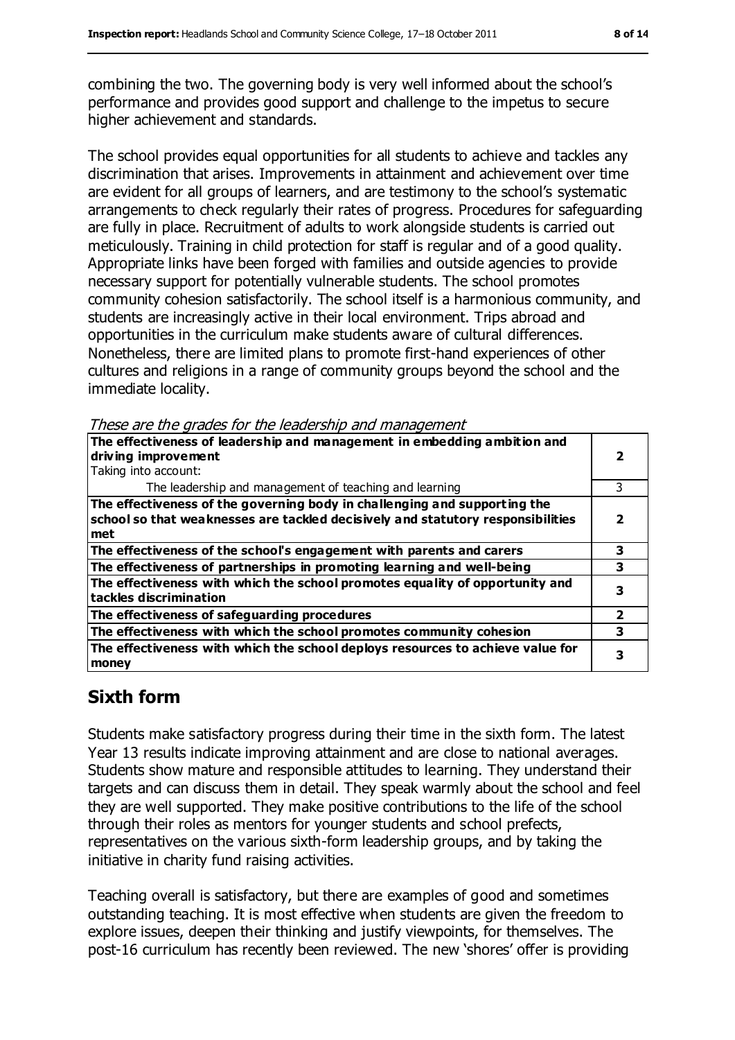combining the two. The governing body is very well informed about the school's performance and provides good support and challenge to the impetus to secure higher achievement and standards.

The school provides equal opportunities for all students to achieve and tackles any discrimination that arises. Improvements in attainment and achievement over time are evident for all groups of learners, and are testimony to the school's systematic arrangements to check regularly their rates of progress. Procedures for safeguarding are fully in place. Recruitment of adults to work alongside students is carried out meticulously. Training in child protection for staff is regular and of a good quality. Appropriate links have been forged with families and outside agencies to provide necessary support for potentially vulnerable students. The school promotes community cohesion satisfactorily. The school itself is a harmonious community, and students are increasingly active in their local environment. Trips abroad and opportunities in the curriculum make students aware of cultural differences. Nonetheless, there are limited plans to promote first-hand experiences of other cultures and religions in a range of community groups beyond the school and the immediate locality.

These are the grades for the leadership and management

| The effectiveness of leadership and management in embedding ambition and                               |   |
|--------------------------------------------------------------------------------------------------------|---|
| driving improvement                                                                                    |   |
| Taking into account:                                                                                   |   |
| The leadership and management of teaching and learning                                                 |   |
| The effectiveness of the governing body in challenging and supporting the                              |   |
| school so that weaknesses are tackled decisively and statutory responsibilities                        |   |
| met                                                                                                    |   |
| The effectiveness of the school's engagement with parents and carers                                   | 3 |
| The effectiveness of partnerships in promoting learning and well-being                                 | з |
| The effectiveness with which the school promotes equality of opportunity and<br>tackles discrimination |   |
| The effectiveness of safeguarding procedures                                                           | 2 |
| The effectiveness with which the school promotes community cohesion                                    |   |
| The effectiveness with which the school deploys resources to achieve value for<br>money                |   |

## **Sixth form**

Students make satisfactory progress during their time in the sixth form. The latest Year 13 results indicate improving attainment and are close to national averages. Students show mature and responsible attitudes to learning. They understand their targets and can discuss them in detail. They speak warmly about the school and feel they are well supported. They make positive contributions to the life of the school through their roles as mentors for younger students and school prefects, representatives on the various sixth-form leadership groups, and by taking the initiative in charity fund raising activities.

Teaching overall is satisfactory, but there are examples of good and sometimes outstanding teaching. It is most effective when students are given the freedom to explore issues, deepen their thinking and justify viewpoints, for themselves. The post-16 curriculum has recently been reviewed. The new 'shores' offer is providing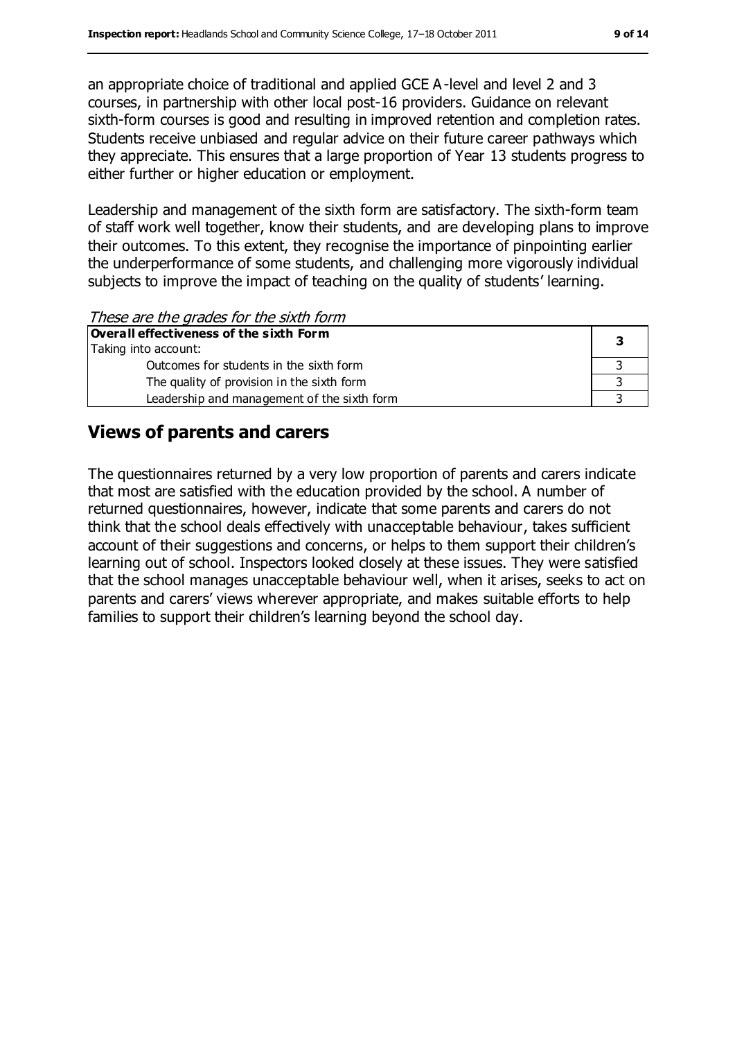an appropriate choice of traditional and applied GCE A-level and level 2 and 3 courses, in partnership with other local post-16 providers. Guidance on relevant sixth-form courses is good and resulting in improved retention and completion rates. Students receive unbiased and regular advice on their future career pathways which they appreciate. This ensures that a large proportion of Year 13 students progress to either further or higher education or employment.

Leadership and management of the sixth form are satisfactory. The sixth-form team of staff work well together, know their students, and are developing plans to improve their outcomes. To this extent, they recognise the importance of pinpointing earlier the underperformance of some students, and challenging more vigorously individual subjects to improve the impact of teaching on the quality of students' learning.

These are the grades for the sixth form

| Overall effectiveness of the sixth Form     |  |  |
|---------------------------------------------|--|--|
| Taking into account:                        |  |  |
| Outcomes for students in the sixth form     |  |  |
| The quality of provision in the sixth form  |  |  |
| Leadership and management of the sixth form |  |  |

#### **Views of parents and carers**

The questionnaires returned by a very low proportion of parents and carers indicate that most are satisfied with the education provided by the school. A number of returned questionnaires, however, indicate that some parents and carers do not think that the school deals effectively with unacceptable behaviour, takes sufficient account of their suggestions and concerns, or helps to them support their children's learning out of school. Inspectors looked closely at these issues. They were satisfied that the school manages unacceptable behaviour well, when it arises, seeks to act on parents and carers' views wherever appropriate, and makes suitable efforts to help families to support their children's learning beyond the school day.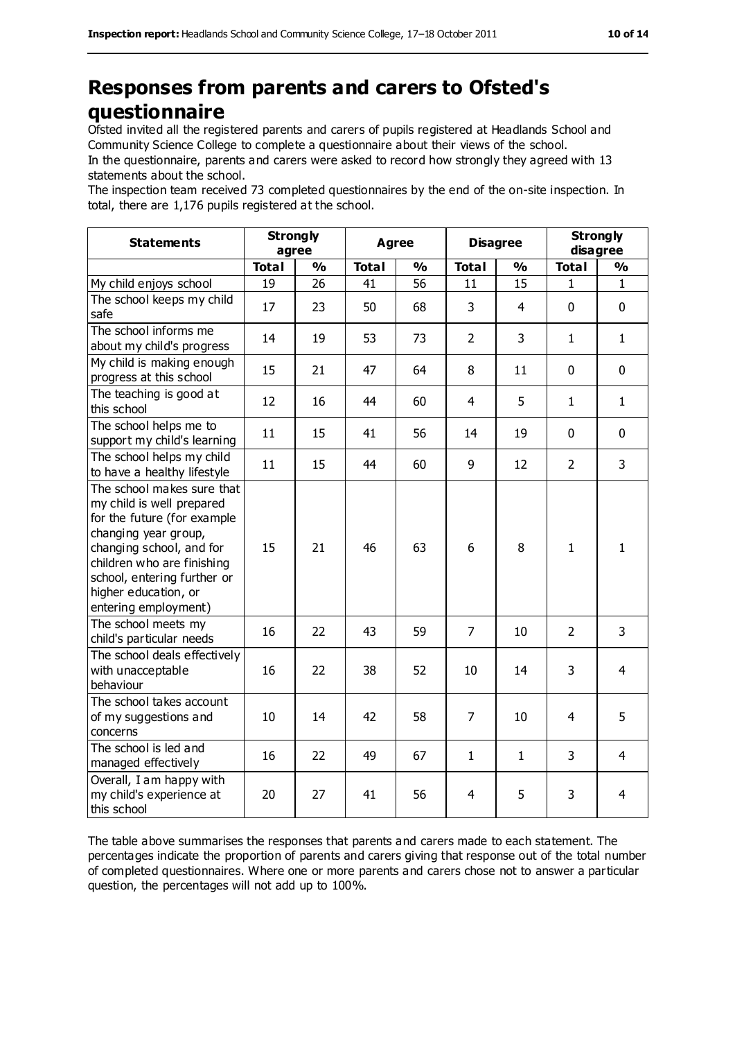## **Responses from parents and carers to Ofsted's questionnaire**

Ofsted invited all the registered parents and carers of pupils registered at Headlands School and Community Science College to complete a questionnaire about their views of the school.

In the questionnaire, parents and carers were asked to record how strongly they agreed with 13 statements about the school.

The inspection team received 73 completed questionnaires by the end of the on-site inspection. In total, there are 1,176 pupils registered at the school.

| <b>Statements</b>                                                                                                                                                                                                                                       | <b>Strongly</b><br>agree |               | Agree        |               | <b>Disagree</b> |                | <b>Strongly</b><br>disagree |                |
|---------------------------------------------------------------------------------------------------------------------------------------------------------------------------------------------------------------------------------------------------------|--------------------------|---------------|--------------|---------------|-----------------|----------------|-----------------------------|----------------|
|                                                                                                                                                                                                                                                         | <b>Total</b>             | $\frac{1}{2}$ | <b>Total</b> | $\frac{1}{2}$ | <b>Total</b>    | $\frac{1}{2}$  | <b>Total</b>                | $\frac{1}{2}$  |
| My child enjoys school                                                                                                                                                                                                                                  | 19                       | 26            | 41           | 56            | 11              | 15             | 1                           | $\mathbf{1}$   |
| The school keeps my child<br>safe                                                                                                                                                                                                                       | 17                       | 23            | 50           | 68            | 3               | $\overline{4}$ | $\mathbf 0$                 | $\mathbf 0$    |
| The school informs me<br>about my child's progress                                                                                                                                                                                                      | 14                       | 19            | 53           | 73            | $\overline{2}$  | 3              | $\mathbf{1}$                | $\mathbf{1}$   |
| My child is making enough<br>progress at this school                                                                                                                                                                                                    | 15                       | 21            | 47           | 64            | 8               | 11             | $\mathbf 0$                 | $\mathbf 0$    |
| The teaching is good at<br>this school                                                                                                                                                                                                                  | 12                       | 16            | 44           | 60            | $\overline{4}$  | 5              | $\mathbf{1}$                | $\mathbf{1}$   |
| The school helps me to<br>support my child's learning                                                                                                                                                                                                   | 11                       | 15            | 41           | 56            | 14              | 19             | $\mathbf 0$                 | $\mathbf 0$    |
| The school helps my child<br>to have a healthy lifestyle                                                                                                                                                                                                | 11                       | 15            | 44           | 60            | 9               | 12             | $\overline{2}$              | $\overline{3}$ |
| The school makes sure that<br>my child is well prepared<br>for the future (for example<br>changing year group,<br>changing school, and for<br>children who are finishing<br>school, entering further or<br>higher education, or<br>entering employment) | 15                       | 21            | 46           | 63            | 6               | 8              | $\mathbf{1}$                | $\mathbf{1}$   |
| The school meets my<br>child's particular needs                                                                                                                                                                                                         | 16                       | 22            | 43           | 59            | $\overline{7}$  | 10             | $\overline{2}$              | $\overline{3}$ |
| The school deals effectively<br>with unacceptable<br>behaviour                                                                                                                                                                                          | 16                       | 22            | 38           | 52            | 10              | 14             | 3                           | $\overline{4}$ |
| The school takes account<br>of my suggestions and<br>concerns                                                                                                                                                                                           | 10                       | 14            | 42           | 58            | $\overline{7}$  | 10             | 4                           | 5              |
| The school is led and<br>managed effectively                                                                                                                                                                                                            | 16                       | 22            | 49           | 67            | $\mathbf{1}$    | $\mathbf{1}$   | 3                           | 4              |
| Overall, I am happy with<br>my child's experience at<br>this school                                                                                                                                                                                     | 20                       | 27            | 41           | 56            | 4               | 5              | 3                           | 4              |

The table above summarises the responses that parents and carers made to each statement. The percentages indicate the proportion of parents and carers giving that response out of the total number of completed questionnaires. Where one or more parents and carers chose not to answer a particular question, the percentages will not add up to 100%.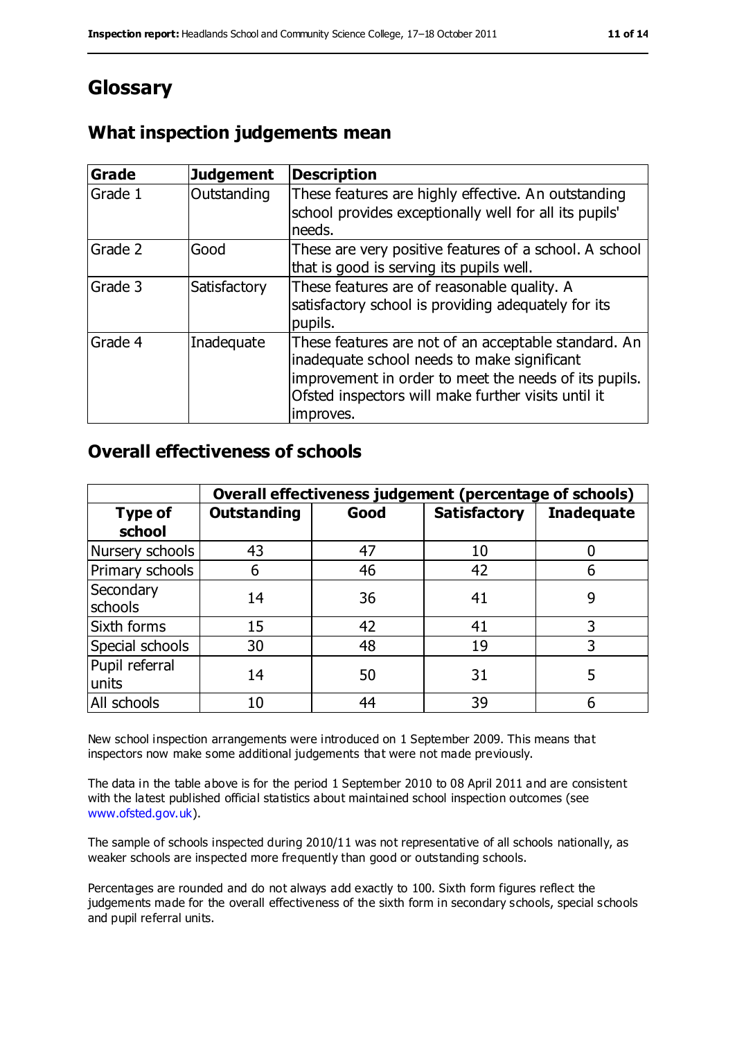## **Glossary**

#### **What inspection judgements mean**

| Grade   | <b>Judgement</b> | <b>Description</b>                                                                                                                                                                                                               |
|---------|------------------|----------------------------------------------------------------------------------------------------------------------------------------------------------------------------------------------------------------------------------|
| Grade 1 | Outstanding      | These features are highly effective. An outstanding<br>school provides exceptionally well for all its pupils'<br>needs.                                                                                                          |
| Grade 2 | Good             | These are very positive features of a school. A school<br>that is good is serving its pupils well.                                                                                                                               |
| Grade 3 | Satisfactory     | These features are of reasonable quality. A<br>satisfactory school is providing adequately for its<br>pupils.                                                                                                                    |
| Grade 4 | Inadequate       | These features are not of an acceptable standard. An<br>inadequate school needs to make significant<br>improvement in order to meet the needs of its pupils.<br>Ofsted inspectors will make further visits until it<br>improves. |

#### **Overall effectiveness of schools**

|                          | Overall effectiveness judgement (percentage of schools) |      |                     |                   |
|--------------------------|---------------------------------------------------------|------|---------------------|-------------------|
| <b>Type of</b><br>school | <b>Outstanding</b>                                      | Good | <b>Satisfactory</b> | <b>Inadequate</b> |
| Nursery schools          | 43                                                      | 47   | 10                  |                   |
| Primary schools          | 6                                                       | 46   | 42                  |                   |
| Secondary<br>schools     | 14                                                      | 36   | 41                  | 9                 |
| Sixth forms              | 15                                                      | 42   | 41                  | 3                 |
| Special schools          | 30                                                      | 48   | 19                  | 3                 |
| Pupil referral<br>units  | 14                                                      | 50   | 31                  |                   |
| All schools              | 10                                                      | 44   | 39                  |                   |

New school inspection arrangements were introduced on 1 September 2009. This means that inspectors now make some additional judgements that were not made previously.

The data in the table above is for the period 1 September 2010 to 08 April 2011 and are consistent with the latest published official statistics about maintained school inspection outcomes (see [www.ofsted.gov.uk\)](http://www.ofsted.gov.uk/).

The sample of schools inspected during 2010/11 was not representative of all schools nationally, as weaker schools are inspected more frequently than good or outstanding schools.

Percentages are rounded and do not always add exactly to 100. Sixth form figures reflect the judgements made for the overall effectiveness of the sixth form in secondary schools, special schools and pupil referral units.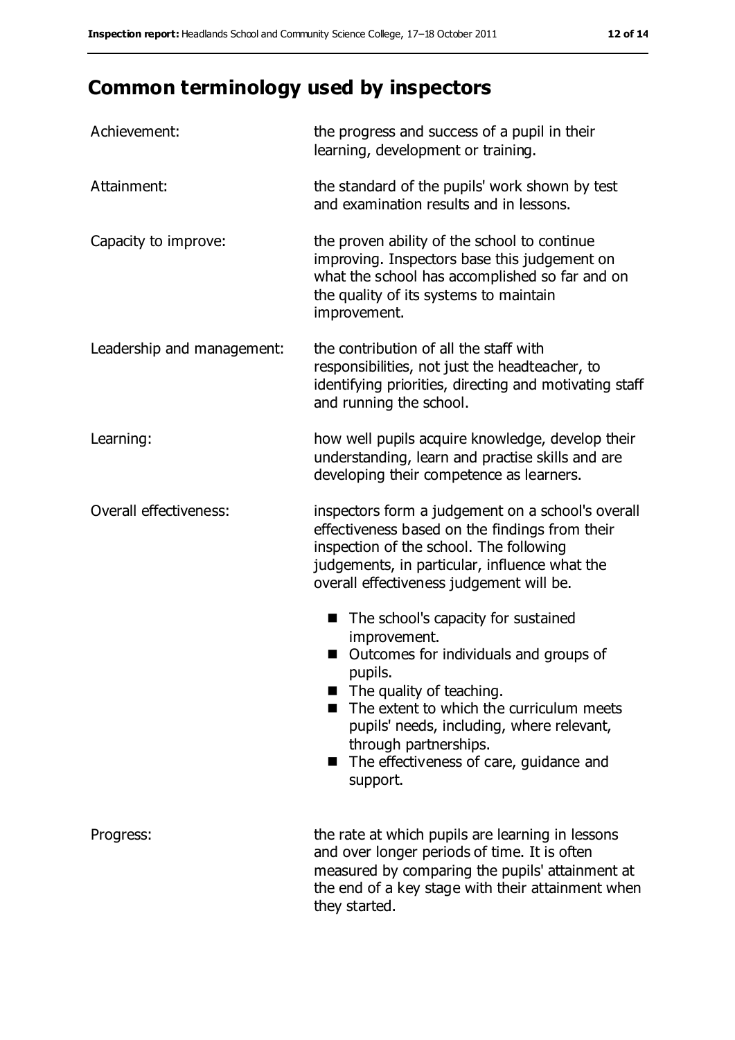# **Common terminology used by inspectors**

| Achievement:               | the progress and success of a pupil in their<br>learning, development or training.                                                                                                                                                                                                                                                |  |  |
|----------------------------|-----------------------------------------------------------------------------------------------------------------------------------------------------------------------------------------------------------------------------------------------------------------------------------------------------------------------------------|--|--|
| Attainment:                | the standard of the pupils' work shown by test<br>and examination results and in lessons.                                                                                                                                                                                                                                         |  |  |
| Capacity to improve:       | the proven ability of the school to continue<br>improving. Inspectors base this judgement on<br>what the school has accomplished so far and on<br>the quality of its systems to maintain<br>improvement.                                                                                                                          |  |  |
| Leadership and management: | the contribution of all the staff with<br>responsibilities, not just the headteacher, to<br>identifying priorities, directing and motivating staff<br>and running the school.                                                                                                                                                     |  |  |
| Learning:                  | how well pupils acquire knowledge, develop their<br>understanding, learn and practise skills and are<br>developing their competence as learners.                                                                                                                                                                                  |  |  |
| Overall effectiveness:     | inspectors form a judgement on a school's overall<br>effectiveness based on the findings from their<br>inspection of the school. The following<br>judgements, in particular, influence what the<br>overall effectiveness judgement will be.                                                                                       |  |  |
|                            | The school's capacity for sustained<br>improvement.<br>Outcomes for individuals and groups of<br>pupils.<br>$\blacksquare$ The quality of teaching.<br>The extent to which the curriculum meets<br>pupils' needs, including, where relevant,<br>through partnerships.<br>The effectiveness of care, guidance and<br>■<br>support. |  |  |
| Progress:                  | the rate at which pupils are learning in lessons<br>and over longer periods of time. It is often<br>measured by comparing the pupils' attainment at<br>the end of a key stage with their attainment when<br>they started.                                                                                                         |  |  |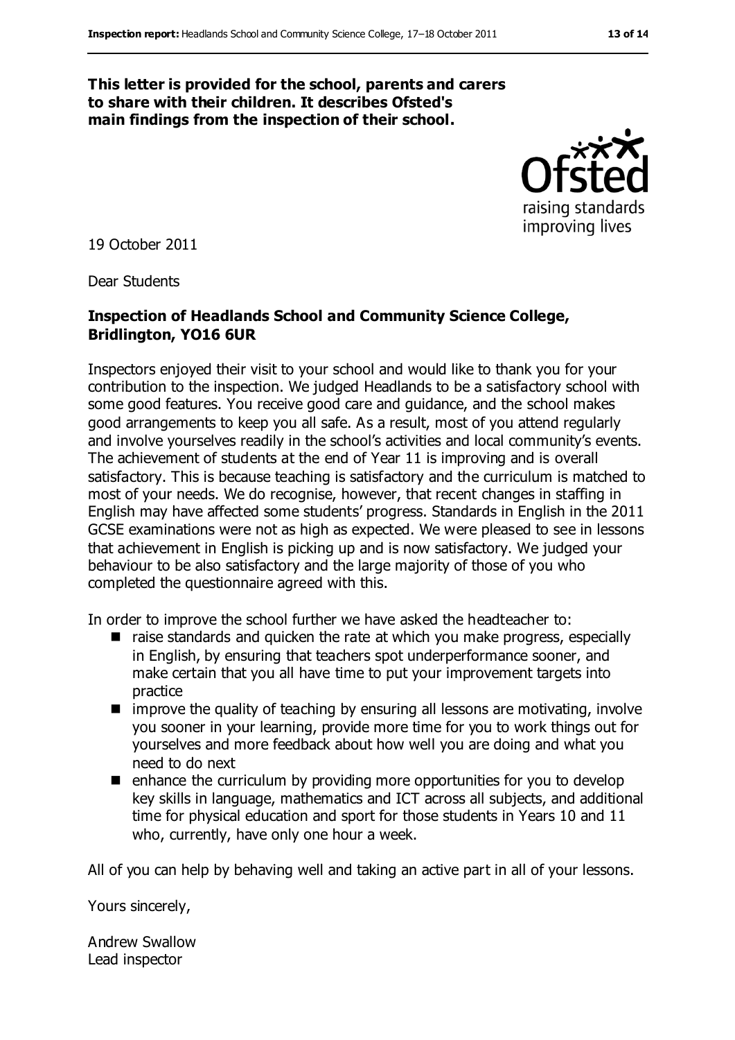#### **This letter is provided for the school, parents and carers to share with their children. It describes Ofsted's main findings from the inspection of their school.**



19 October 2011

Dear Students

#### **Inspection of Headlands School and Community Science College, Bridlington, YO16 6UR**

Inspectors enjoyed their visit to your school and would like to thank you for your contribution to the inspection. We judged Headlands to be a satisfactory school with some good features. You receive good care and guidance, and the school makes good arrangements to keep you all safe. As a result, most of you attend regularly and involve yourselves readily in the school's activities and local community's events. The achievement of students at the end of Year 11 is improving and is overall satisfactory. This is because teaching is satisfactory and the curriculum is matched to most of your needs. We do recognise, however, that recent changes in staffing in English may have affected some students' progress. Standards in English in the 2011 GCSE examinations were not as high as expected. We were pleased to see in lessons that achievement in English is picking up and is now satisfactory. We judged your behaviour to be also satisfactory and the large majority of those of you who completed the questionnaire agreed with this.

In order to improve the school further we have asked the headteacher to:

- raise standards and quicken the rate at which you make progress, especially in English, by ensuring that teachers spot underperformance sooner, and make certain that you all have time to put your improvement targets into practice
- $\blacksquare$  improve the quality of teaching by ensuring all lessons are motivating, involve you sooner in your learning, provide more time for you to work things out for yourselves and more feedback about how well you are doing and what you need to do next
- $\blacksquare$  enhance the curriculum by providing more opportunities for you to develop key skills in language, mathematics and ICT across all subjects, and additional time for physical education and sport for those students in Years 10 and 11 who, currently, have only one hour a week.

All of you can help by behaving well and taking an active part in all of your lessons.

Yours sincerely,

Andrew Swallow Lead inspector